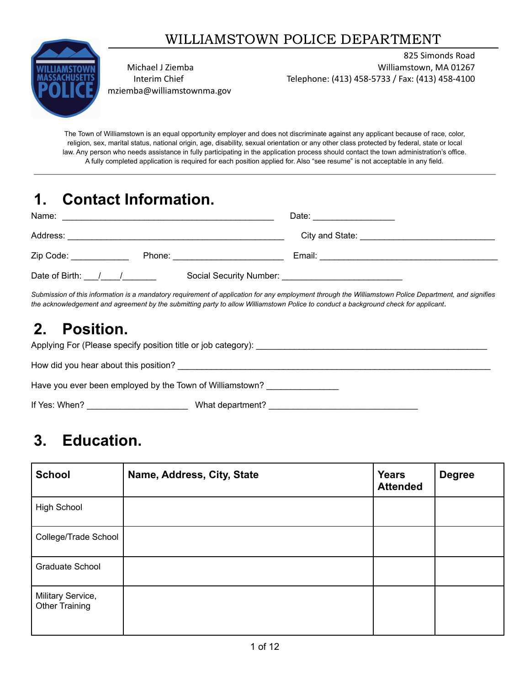## WILLIAMSTOWN POLICE DEPARTMENT



mziemba@williamstownma.gov

825 Simonds Road Michael J Ziemba Williamstown, MA 01267 Interim Chief Telephone: (413) 458-5733 / Fax: (413) 458-4100

The Town of Williamstown is an equal opportunity employer and does not discriminate against any applicant because of race, color, religion, sex, marital status, national origin, age, disability, sexual orientation or any other class protected by federal, state or local law. Any person who needs assistance in fully participating in the application process should contact the town administration's office. A fully completed application is required for each position applied for. Also "see resume" is not acceptable in any field.

# **1. Contact Information.**

| Name:<br><u> 1989 - John Stone, Amerikaansk politiker († 1989)</u>                                             | Date: ________________                                                                                                                                                                                                                     |
|----------------------------------------------------------------------------------------------------------------|--------------------------------------------------------------------------------------------------------------------------------------------------------------------------------------------------------------------------------------------|
| Address:                                                                                                       | City and State: <u>Call Andrew City and State:</u>                                                                                                                                                                                         |
| Zip Code: The Code State of the Code State of the Code State of the Code State of the Code State of the Code S | Email:<br>Phone: 2008 2010 2021 2022 2023 2024 2022 2022 2023 2024 2022 2023 2024 2022 2023 2024 2022 2023 2024 2025 20<br>the contract of the contract of the contract of the contract of the contract of the contract of the contract of |
| Date of Birth: / /                                                                                             |                                                                                                                                                                                                                                            |

Submission of this information is a mandatory requirement of application for any employment through the Williamstown Police Department, and signifies the acknowledgement and agreement by the submitting party to allow Williamstown Police to conduct a background check for applicant.

# **2. Position.**

| Applying For (Please specify position title or job category): __________________ |                  |  |
|----------------------------------------------------------------------------------|------------------|--|
| How did you hear about this position?                                            |                  |  |
| Have you ever been employed by the Town of Williamstown?                         |                  |  |
| If Yes: When?                                                                    | What department? |  |

# **3. Education.**

| <b>School</b>                              | Name, Address, City, State | <b>Years</b><br><b>Attended</b> | <b>Degree</b> |
|--------------------------------------------|----------------------------|---------------------------------|---------------|
| High School                                |                            |                                 |               |
| College/Trade School                       |                            |                                 |               |
| Graduate School                            |                            |                                 |               |
| Military Service,<br><b>Other Training</b> |                            |                                 |               |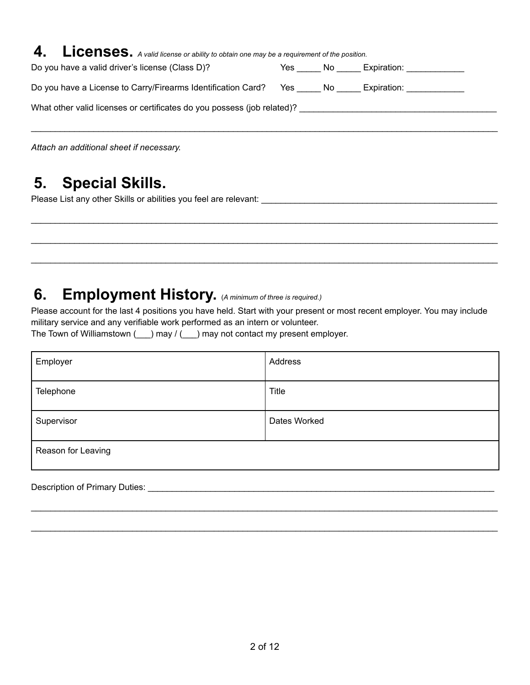| 4. Licenses. A valid license or ability to obtain one may be a requirement of the position. |  |                    |
|---------------------------------------------------------------------------------------------|--|--------------------|
| Do you have a valid driver's license (Class D)?                                             |  | Yes No Expiration: |
| Do you have a License to Carry/Firearms Identification Card? Yes _____ No _____ Expiration: |  |                    |
| What other valid licenses or certificates do you possess (job related)?                     |  |                    |
|                                                                                             |  |                    |
|                                                                                             |  |                    |

*Attach an additional sheet if necessary.*

# **5. Special Skills.**

Please List any other Skills or abilities you feel are relevant: \_\_\_\_\_\_\_\_\_\_\_\_\_\_\_\_\_\_\_\_\_\_\_\_\_\_\_\_\_\_\_\_\_\_\_\_\_\_\_\_\_\_\_\_\_\_\_\_\_

# **6. Employment History.** (*<sup>A</sup> minimum of three is required.)*

Please account for the last 4 positions you have held. Start with your present or most recent employer. You may include military service and any verifiable work performed as an intern or volunteer.

 $\_$  ,  $\_$  ,  $\_$  ,  $\_$  ,  $\_$  ,  $\_$  ,  $\_$  ,  $\_$  ,  $\_$  ,  $\_$  ,  $\_$  ,  $\_$  ,  $\_$  ,  $\_$  ,  $\_$  ,  $\_$  ,  $\_$  ,  $\_$  ,  $\_$  ,  $\_$  ,  $\_$  ,  $\_$  ,  $\_$  ,  $\_$  ,  $\_$  ,  $\_$  ,  $\_$  ,  $\_$  ,  $\_$  ,  $\_$  ,  $\_$  ,  $\_$  ,  $\_$  ,  $\_$  ,  $\_$  ,  $\_$  ,  $\_$  ,

 $\_$  ,  $\_$  ,  $\_$  ,  $\_$  ,  $\_$  ,  $\_$  ,  $\_$  ,  $\_$  ,  $\_$  ,  $\_$  ,  $\_$  ,  $\_$  ,  $\_$  ,  $\_$  ,  $\_$  ,  $\_$  ,  $\_$  ,  $\_$  ,  $\_$  ,  $\_$  ,  $\_$  ,  $\_$  ,  $\_$  ,  $\_$  ,  $\_$  ,  $\_$  ,  $\_$  ,  $\_$  ,  $\_$  ,  $\_$  ,  $\_$  ,  $\_$  ,  $\_$  ,  $\_$  ,  $\_$  ,  $\_$  ,  $\_$  ,

 $\_$  ,  $\_$  ,  $\_$  ,  $\_$  ,  $\_$  ,  $\_$  ,  $\_$  ,  $\_$  ,  $\_$  ,  $\_$  ,  $\_$  ,  $\_$  ,  $\_$  ,  $\_$  ,  $\_$  ,  $\_$  ,  $\_$  ,  $\_$  ,  $\_$  ,  $\_$  ,  $\_$  ,  $\_$  ,  $\_$  ,  $\_$  ,  $\_$  ,  $\_$  ,  $\_$  ,  $\_$  ,  $\_$  ,  $\_$  ,  $\_$  ,  $\_$  ,  $\_$  ,  $\_$  ,  $\_$  ,  $\_$  ,  $\_$  ,

The Town of Williamstown (  $\Box$ ) may / (  $\Box$ ) may not contact my present employer.

| Address      |
|--------------|
| <b>Title</b> |
| Dates Worked |
|              |
|              |

 $\_$  ,  $\_$  ,  $\_$  ,  $\_$  ,  $\_$  ,  $\_$  ,  $\_$  ,  $\_$  ,  $\_$  ,  $\_$  ,  $\_$  ,  $\_$  ,  $\_$  ,  $\_$  ,  $\_$  ,  $\_$  ,  $\_$  ,  $\_$  ,  $\_$  ,  $\_$  ,  $\_$  ,  $\_$  ,  $\_$  ,  $\_$  ,  $\_$  ,  $\_$  ,  $\_$  ,  $\_$  ,  $\_$  ,  $\_$  ,  $\_$  ,  $\_$  ,  $\_$  ,  $\_$  ,  $\_$  ,  $\_$  ,  $\_$  ,

 $\_$  ,  $\_$  ,  $\_$  ,  $\_$  ,  $\_$  ,  $\_$  ,  $\_$  ,  $\_$  ,  $\_$  ,  $\_$  ,  $\_$  ,  $\_$  ,  $\_$  ,  $\_$  ,  $\_$  ,  $\_$  ,  $\_$  ,  $\_$  ,  $\_$  ,  $\_$  ,  $\_$  ,  $\_$  ,  $\_$  ,  $\_$  ,  $\_$  ,  $\_$  ,  $\_$  ,  $\_$  ,  $\_$  ,  $\_$  ,  $\_$  ,  $\_$  ,  $\_$  ,  $\_$  ,  $\_$  ,  $\_$  ,  $\_$  ,

Description of Primary Duties: \_\_\_\_\_\_\_\_\_\_\_\_\_\_\_\_\_\_\_\_\_\_\_\_\_\_\_\_\_\_\_\_\_\_\_\_\_\_\_\_\_\_\_\_\_\_\_\_\_\_\_\_\_\_\_\_\_\_\_\_\_\_\_\_\_\_\_\_\_\_\_\_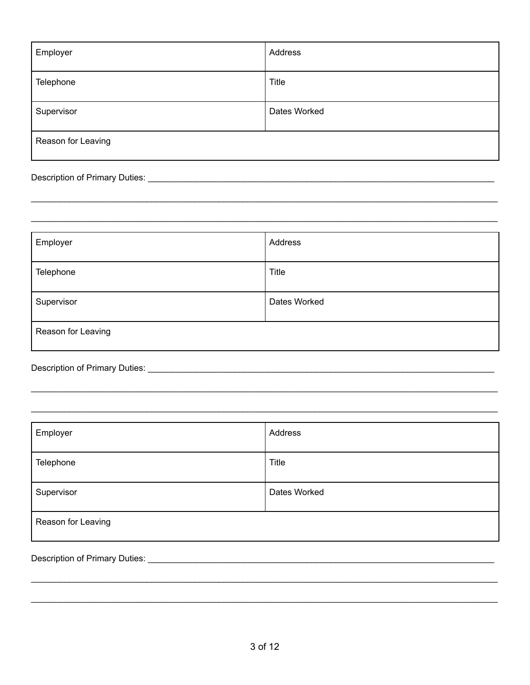| Employer           | Address      |
|--------------------|--------------|
| Telephone          | Title        |
| Supervisor         | Dates Worked |
| Reason for Leaving |              |

| Employer           | Address      |
|--------------------|--------------|
| Telephone          | Title        |
| Supervisor         | Dates Worked |
| Reason for Leaving |              |

## 

| Employer           | Address      |
|--------------------|--------------|
| Telephone          | Title        |
| Supervisor         | Dates Worked |
| Reason for Leaving |              |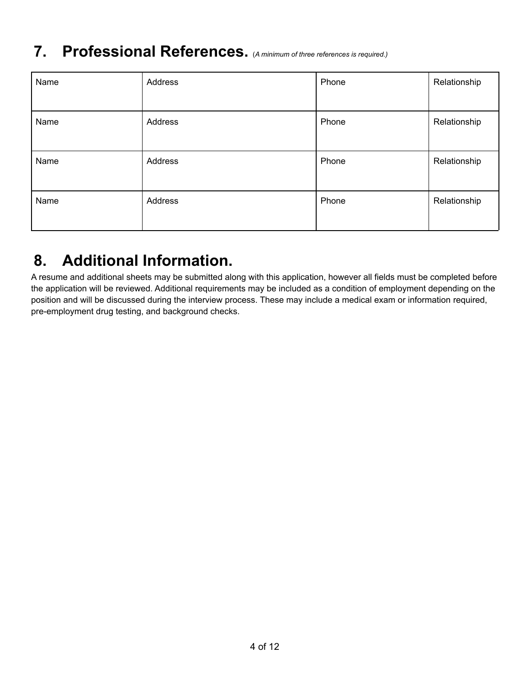# **7. Professional References.** (*<sup>A</sup> minimum of three references is required.)*

| Name | Address | Phone | Relationship |
|------|---------|-------|--------------|
| Name | Address | Phone | Relationship |
| Name | Address | Phone | Relationship |
| Name | Address | Phone | Relationship |

# **8. Additional Information.**

A resume and additional sheets may be submitted along with this application, however all fields must be completed before the application will be reviewed. Additional requirements may be included as a condition of employment depending on the position and will be discussed during the interview process. These may include a medical exam or information required, pre-employment drug testing, and background checks.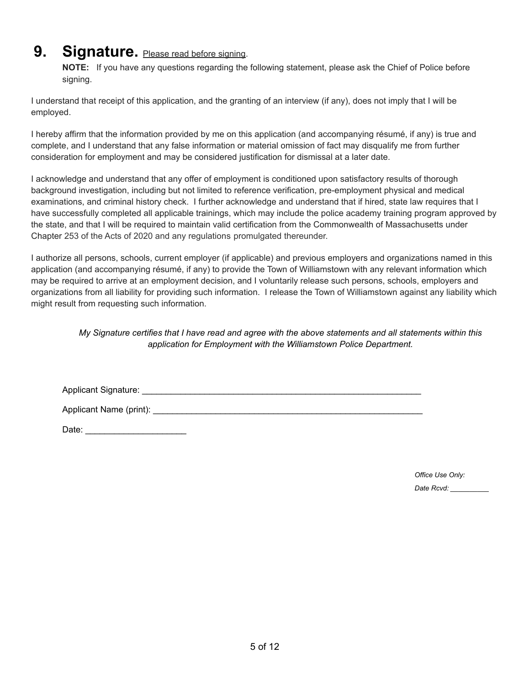## **9.** Signature. Please read before signing.

**NOTE:** If you have any questions regarding the following statement, please ask the Chief of Police before signing.

I understand that receipt of this application, and the granting of an interview (if any), does not imply that I will be employed.

I hereby affirm that the information provided by me on this application (and accompanying résumé, if any) is true and complete, and I understand that any false information or material omission of fact may disqualify me from further consideration for employment and may be considered justification for dismissal at a later date.

I acknowledge and understand that any offer of employment is conditioned upon satisfactory results of thorough background investigation, including but not limited to reference verification, pre-employment physical and medical examinations, and criminal history check. I further acknowledge and understand that if hired, state law requires that I have successfully completed all applicable trainings, which may include the police academy training program approved by the state, and that I will be required to maintain valid certification from the Commonwealth of Massachusetts under Chapter 253 of the Acts of 2020 and any regulations promulgated thereunder.

I authorize all persons, schools, current employer (if applicable) and previous employers and organizations named in this application (and accompanying résumé, if any) to provide the Town of Williamstown with any relevant information which may be required to arrive at an employment decision, and I voluntarily release such persons, schools, employers and organizations from all liability for providing such information. I release the Town of Williamstown against any liability which might result from requesting such information.

#### My Signature certifies that I have read and agree with the above statements and all statements within this *application for Employment with the Williamstown Police Department.*

Applicant Signature: \_\_\_\_\_\_\_\_\_\_\_\_\_\_\_\_\_\_\_\_\_\_\_\_\_\_\_\_\_\_\_\_\_\_\_\_\_\_\_\_\_\_\_\_\_\_\_\_\_\_\_\_\_\_\_\_\_\_

Applicant Name (print):  $\blacksquare$ 

Date: \_\_\_\_\_\_\_\_\_\_\_\_\_\_\_\_\_\_\_\_\_

*Office Use Only:*

*Date Rcvd: \_\_\_\_\_\_\_\_\_\_*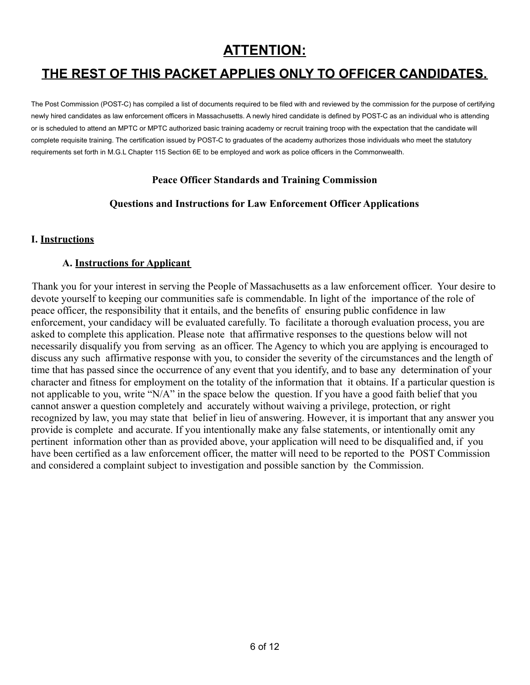## **ATTENTION:**

## **THE REST OF THIS PACKET APPLIES ONLY TO OFFICER CANDIDATES.**

The Post Commission (POST-C) has compiled a list of documents required to be filed with and reviewed by the commission for the purpose of certifying newly hired candidates as law enforcement officers in Massachusetts. A newly hired candidate is defined by POST-C as an individual who is attending or is scheduled to attend an MPTC or MPTC authorized basic training academy or recruit training troop with the expectation that the candidate will complete requisite training. The certification issued by POST-C to graduates of the academy authorizes those individuals who meet the statutory requirements set forth in M.G.L Chapter 115 Section 6E to be employed and work as police officers in the Commonwealth.

#### **Peace Officer Standards and Training Commission**

#### **Questions and Instructions for Law Enforcement Officer Applications**

#### **I. Instructions**

#### **A. Instructions for Applicant**

Thank you for your interest in serving the People of Massachusetts as a law enforcement officer. Your desire to devote yourself to keeping our communities safe is commendable. In light of the importance of the role of peace officer, the responsibility that it entails, and the benefits of ensuring public confidence in law enforcement, your candidacy will be evaluated carefully. To facilitate a thorough evaluation process, you are asked to complete this application. Please note that affirmative responses to the questions below will not necessarily disqualify you from serving as an officer. The Agency to which you are applying is encouraged to discuss any such affirmative response with you, to consider the severity of the circumstances and the length of time that has passed since the occurrence of any event that you identify, and to base any determination of your character and fitness for employment on the totality of the information that it obtains. If a particular question is not applicable to you, write "N/A" in the space below the question. If you have a good faith belief that you cannot answer a question completely and accurately without waiving a privilege, protection, or right recognized by law, you may state that belief in lieu of answering. However, it is important that any answer you provide is complete and accurate. If you intentionally make any false statements, or intentionally omit any pertinent information other than as provided above, your application will need to be disqualified and, if you have been certified as a law enforcement officer, the matter will need to be reported to the POST Commission and considered a complaint subject to investigation and possible sanction by the Commission.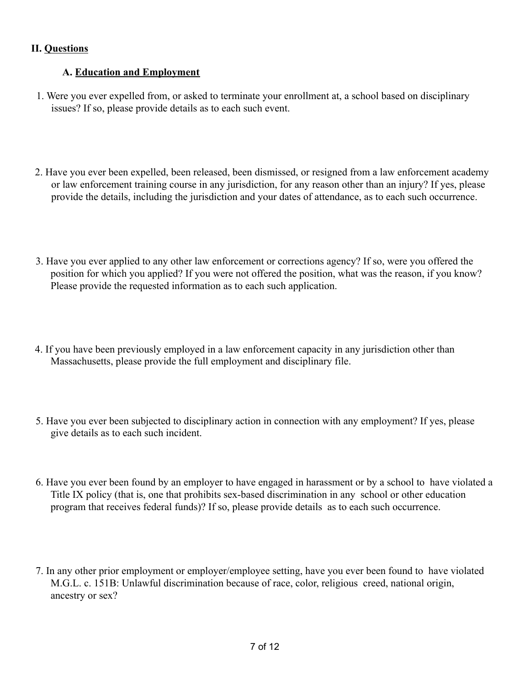### **II. Questions**

### **A. Education and Employment**

- 1. Were you ever expelled from, or asked to terminate your enrollment at, a school based on disciplinary issues? If so, please provide details as to each such event.
- 2. Have you ever been expelled, been released, been dismissed, or resigned from a law enforcement academy or law enforcement training course in any jurisdiction, for any reason other than an injury? If yes, please provide the details, including the jurisdiction and your dates of attendance, as to each such occurrence.
- 3. Have you ever applied to any other law enforcement or corrections agency? If so, were you offered the position for which you applied? If you were not offered the position, what was the reason, if you know? Please provide the requested information as to each such application.
- 4. If you have been previously employed in a law enforcement capacity in any jurisdiction other than Massachusetts, please provide the full employment and disciplinary file.
- 5. Have you ever been subjected to disciplinary action in connection with any employment? If yes, please give details as to each such incident.
- 6. Have you ever been found by an employer to have engaged in harassment or by a school to have violated a Title IX policy (that is, one that prohibits sex-based discrimination in any school or other education program that receives federal funds)? If so, please provide details as to each such occurrence.
- 7. In any other prior employment or employer/employee setting, have you ever been found to have violated M.G.L. c. 151B: Unlawful discrimination because of race, color, religious creed, national origin, ancestry or sex?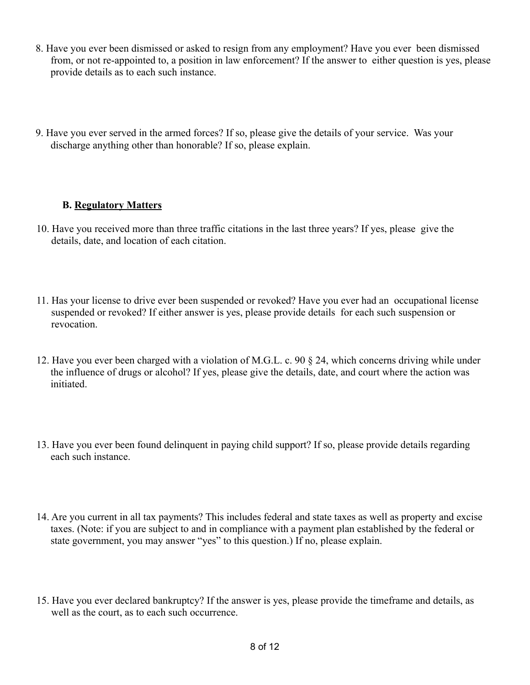- 8. Have you ever been dismissed or asked to resign from any employment? Have you ever been dismissed from, or not re-appointed to, a position in law enforcement? If the answer to either question is yes, please provide details as to each such instance.
- 9. Have you ever served in the armed forces? If so, please give the details of your service. Was your discharge anything other than honorable? If so, please explain.

## **B. Regulatory Matters**

- 10. Have you received more than three traffic citations in the last three years? If yes, please give the details, date, and location of each citation.
- 11. Has your license to drive ever been suspended or revoked? Have you ever had an occupational license suspended or revoked? If either answer is yes, please provide details for each such suspension or revocation.
- 12. Have you ever been charged with a violation of M.G.L. c. 90 § 24, which concerns driving while under the influence of drugs or alcohol? If yes, please give the details, date, and court where the action was initiated.
- 13. Have you ever been found delinquent in paying child support? If so, please provide details regarding each such instance.
- 14. Are you current in all tax payments? This includes federal and state taxes as well as property and excise taxes. (Note: if you are subject to and in compliance with a payment plan established by the federal or state government, you may answer "yes" to this question.) If no, please explain.
- 15. Have you ever declared bankruptcy? If the answer is yes, please provide the timeframe and details, as well as the court, as to each such occurrence.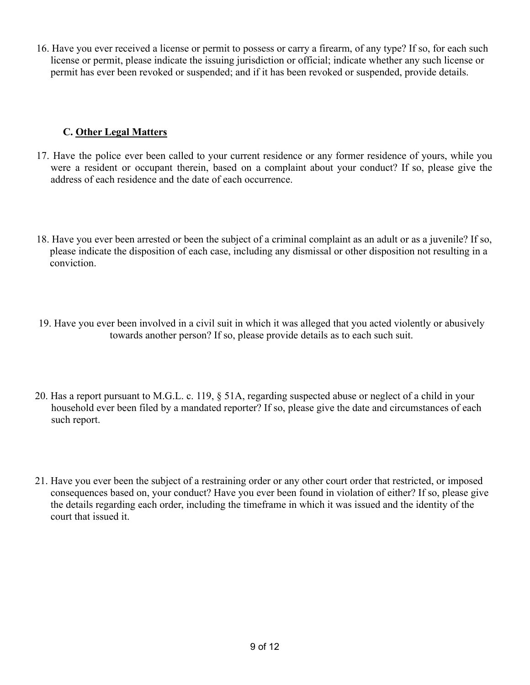16. Have you ever received a license or permit to possess or carry a firearm, of any type? If so, for each such license or permit, please indicate the issuing jurisdiction or official; indicate whether any such license or permit has ever been revoked or suspended; and if it has been revoked or suspended, provide details.

## **C. Other Legal Matters**

- 17. Have the police ever been called to your current residence or any former residence of yours, while you were a resident or occupant therein, based on a complaint about your conduct? If so, please give the address of each residence and the date of each occurrence.
- 18. Have you ever been arrested or been the subject of a criminal complaint as an adult or as a juvenile? If so, please indicate the disposition of each case, including any dismissal or other disposition not resulting in a conviction.
- 19. Have you ever been involved in a civil suit in which it was alleged that you acted violently or abusively towards another person? If so, please provide details as to each such suit.
- 20. Has a report pursuant to M.G.L. c. 119, § 51A, regarding suspected abuse or neglect of a child in your household ever been filed by a mandated reporter? If so, please give the date and circumstances of each such report.
- 21. Have you ever been the subject of a restraining order or any other court order that restricted, or imposed consequences based on, your conduct? Have you ever been found in violation of either? If so, please give the details regarding each order, including the timeframe in which it was issued and the identity of the court that issued it.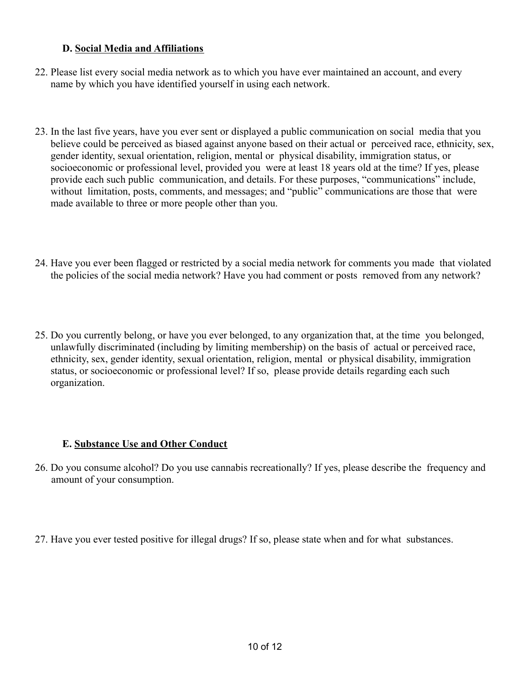### **D. Social Media and Affiliations**

- 22. Please list every social media network as to which you have ever maintained an account, and every name by which you have identified yourself in using each network.
- 23. In the last five years, have you ever sent or displayed a public communication on social media that you believe could be perceived as biased against anyone based on their actual or perceived race, ethnicity, sex, gender identity, sexual orientation, religion, mental or physical disability, immigration status, or socioeconomic or professional level, provided you were at least 18 years old at the time? If yes, please provide each such public communication, and details. For these purposes, "communications" include, without limitation, posts, comments, and messages; and "public" communications are those that were made available to three or more people other than you.
- 24. Have you ever been flagged or restricted by a social media network for comments you made that violated the policies of the social media network? Have you had comment or posts removed from any network?
- 25. Do you currently belong, or have you ever belonged, to any organization that, at the time you belonged, unlawfully discriminated (including by limiting membership) on the basis of actual or perceived race, ethnicity, sex, gender identity, sexual orientation, religion, mental or physical disability, immigration status, or socioeconomic or professional level? If so, please provide details regarding each such organization.

#### **E. Substance Use and Other Conduct**

- 26. Do you consume alcohol? Do you use cannabis recreationally? If yes, please describe the frequency and amount of your consumption.
- 27. Have you ever tested positive for illegal drugs? If so, please state when and for what substances.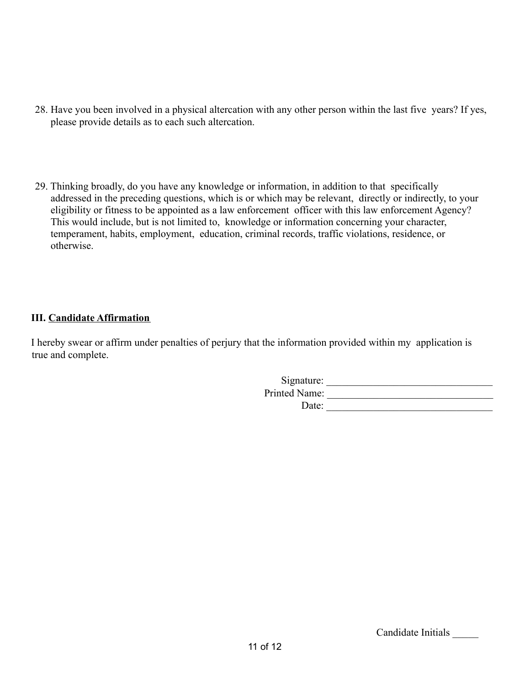- 28. Have you been involved in a physical altercation with any other person within the last five years? If yes, please provide details as to each such altercation.
- 29. Thinking broadly, do you have any knowledge or information, in addition to that specifically addressed in the preceding questions, which is or which may be relevant, directly or indirectly, to your eligibility or fitness to be appointed as a law enforcement officer with this law enforcement Agency? This would include, but is not limited to, knowledge or information concerning your character, temperament, habits, employment, education, criminal records, traffic violations, residence, or otherwise.

### **III. Candidate Affirmation**

I hereby swear or affirm under penalties of perjury that the information provided within my application is true and complete.

| Signature:    |  |
|---------------|--|
| Printed Name: |  |
| Date:         |  |